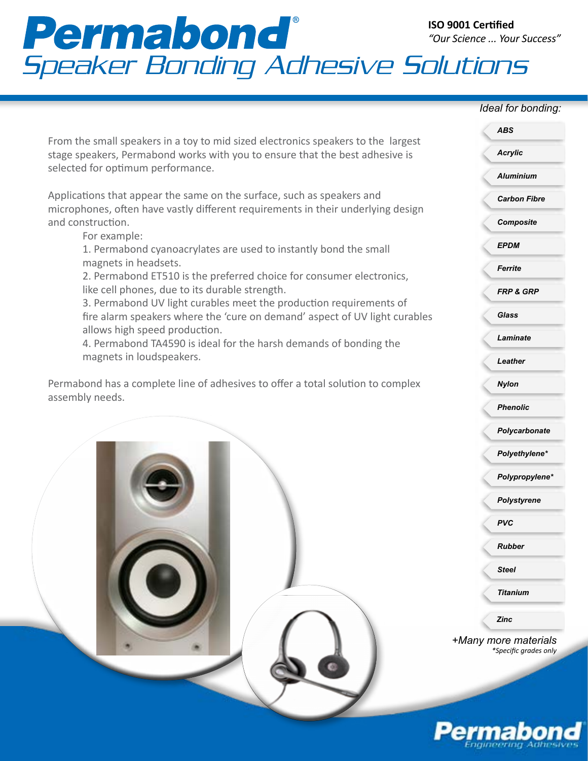# Permabond<br>Speaker Bonding Adhesive Solutions **ISO 9001 Certified** *"Our Science ... Your Success"*

## *Ideal for bonding:*

*Acrylic*

*ABS*

*Aluminium*

*Carbon Fibre*

From the small speakers in a toy to mid sized electronics speakers to the largest stage speakers, Permabond works with you to ensure that the best adhesive is selected for optimum performance.

Applications that appear the same on the surface, such as speakers and microphones, often have vastly different requirements in their underlying design and construction.

### For example:

1. Permabond cyanoacrylates are used to instantly bond the small magnets in headsets.

2. Permabond ET510 is the preferred choice for consumer electronics, like cell phones, due to its durable strength.

3. Permabond UV light curables meet the production requirements of fire alarm speakers where the 'cure on demand' aspect of UV light curables allows high speed production.

4. Permabond TA4590 is ideal for the harsh demands of bonding the magnets in loudspeakers.

Permabond has a complete line of adhesives to offer a total solution to complex assembly needs.